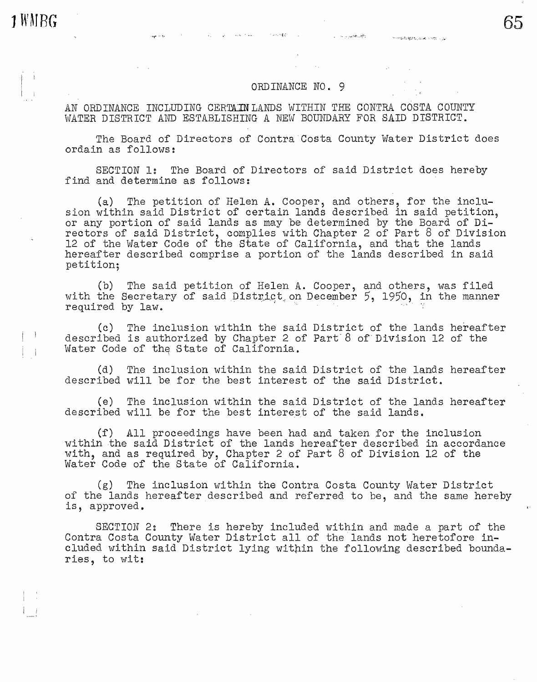**1 WMRG** 

 $\Box$ 

i i

## ORDINANCE NO. 9

AN ORDINANCE INCLUDING CERTAIN LANDS WITHIN THE CONTRA COSTA COUNTY WATER DISTRICT AND ESTABLISHING A NEW BOUNDARY FOR SAID DISTRICT.

1000048

 $\sim 10^{11}$  mass  $^{-1}$ 

The Board of Directors of Contra Costa County Water District does ordain as follows:

SECTION 1: The Board of Directors of said District does hereby find and determine as follows:

(a) The petition of Helen A. Cooper, and others, for the inclusion within said District of certain lands described in said petition, or any portion of said lands as may be determined by the Board of Directors of said District, complies with Chapter 2 of Part 8 of Division 12 of the Water Code of the State of California, and that the lands hereafter described comprise a portion of the lands described in said petition;

(b) The said petition of Helen A. Cooper, and others, was filed with the Secretary of said District on December 5, 1950, in the manner required by law.

(c) The inclusion within the said District of the lands hereafter described is authorized by Chapter 2 of Part·8 of.Division 12 of the Water Code of the State of California.

(d) The inclusion within the said District of the lands hereafter described will be for the best interest of the said District.

(e) The inclusion within the said District of the lands hereafter described will be for the best interest of the said lands.

(f) All proceedings have been had and taken for the inclusion within the said District of the lands hereafter described in accordance with, and as required by, Chapter 2 of Part 8 of Division 12 of the Water Code of the State of California.

(g) The inclusion within the Contra Costa County Water District of the lands hereafter described and referred to be, and the same hereby is, approved.

SECTION 2: There is hereby included within and made a part of the Contra Costa County Water District all of the lands not heretofore included within said District lying within the following described boundaries, to wit: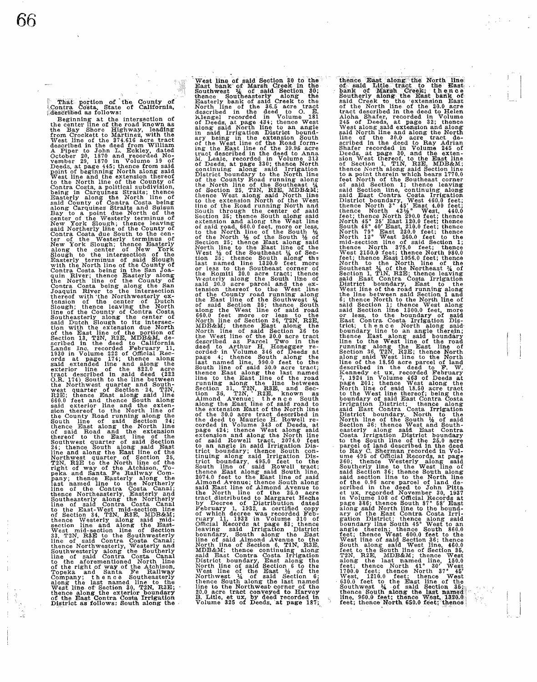That portion of the County of Contra Costa. State of California,<br>described as follows:

Beginning at the intersection of the center line of the road known as<br>the Bay Shore Highway, leading<br>from Crockett to Martinez, with the From Concert of the 374.616 acre tract<br>Mest line of the 374.616 acre tract<br>A Piper to John L. Eckley, dated<br>A Piper to John L. Eckley, dated<br>October 29, 1870 and recorded No-<br>vember 29, 1870 in Volume 19 of<br>Deeds, at page Contra Costa, a political subdivision, being' in Carquinez Straits; thence Easterly along the North line of said County of Contra Costa being along Carquinez Straits and Suisun Bay to a point due North of the<br>center of the Westerly terminus of New York Slough; thence leaving<br>said Northerly line of the County of Contra Costa due South to the cen- ter of the Westerly terminus of New York Slough; thence Easterly<br>
New York Slough; thence Easterly<br>
allong the center of New York<br>
Slough to the intersection of the<br>
Easterly terminus of said Slough<br>
With the North line of the County of<br>
Contra Costa bei exterior line of the 822.0 acre<br>tract described in said deed (222<br>O.R. 174) South to the line between the Northwest quarter and South- west quarter of Section 24, T2N, R2E; thence East along said line noted and thence South along<br>said exterior line and thence South along<br>sion thereof to the North line of<br>sion thereof to the North line of<br>South line of said Section 24;<br>thence East along the North line<br>of said Road and th of Section 34, T2N, R3E, MDB&M;<br>thence Westerly along said mid-<br>section line and along the East-<br>West mid-section line of Section<br>33, T2N, R3E to the Southwesterly<br>thence Northwesterly, Westerly and<br>thence Northwesterly, W choute form we along the Southerly<br>Southwesterly along the Southerly<br>to the aforementioned North line<br>of the right of way of the Atchison,<br>Topeka and Santa Te Rallway<br>Company; the nee Southeasterly<br>West line of Section 30, West line of said Section 30 to the East bank of Marsh Creek in the Southwest 14 of said Section 30; thence Southeasterly along the Basterly bank of said Creek to the North line of the 36.5 acre tract described in the deed of the County Road running along the North line of the Southeast 1,4 of Section 25, T2N, R2E, MDERM,<br>of Section 25, T2N, R2E, MDERM,<br>thence West along said North line<br>to the Evad running North of the West<br>south through the center of said<br>Section 25; thence South along said<br>extension and al county road running along<br>of the County road running along<br>of said Section 25; thence South<br>along the West line of said road<br>660.0 feet more or less to the<br>NOrth line of Section 36, T2N, R2E,<br>MDB&M; thence East along the North line of said Section 36 to the West line of the 30.0 acre tract described as Parcel Two in the deed to Arthur H. Honegger re-<br>corded in Volume 346 of Deeds at<br>page 4; thence South along the<br>page 4; thence South along the<br>last named line, 990.0 feet to the<br>South line of said 30.0 acre tract;<br>thence East along the las Allong the East line of said road to<br>allong the East line of said road to<br>the extension East of the North line<br>of the 30.0 acre tract described in<br>the deed to Maurice H. Rowell re-<br>page 424; thence West along said<br>extensio trict boundary; thence South Con-<br>trict boundary; thence South con-<br>trict boundary, thence South con-<br>trict boundary, 495.0 feet to the<br>South line of said Rowell tract;<br>2074.0 feet to the East line of said<br>and Avenue; then

thence East along the North line<br>of asid Litle tract to the East of the of the same<br>bank of Marsh Greek; thence<br>Southerly along the East bank of<br>said Creek to the extension East<br>of the North line of the 20.0 acre<br>of the No feet North of the Southeast corner of said Section 1; thence leaving along said Section line, continuing along said East Contra Costa Irrigation District boundary, West 460.0 feet; neare North 43% West, 100 feet;<br>thence North 43% West, 4400 feet;<br>thence North 43% West, 4400<br>feet; thence North 290.0 feet; thence<br>North 45° 25' East 120.0 feet; thence<br>South 48° 40' East, 210.0 feet; thence<br>North 79° Eas West line of the road running along<br>the line between said Section 1 and<br>6; thence North to the North line of<br>said Section 1; thence West along<br>said Section line 1300.0 feet, more<br>or less, to the boundary of said<br>trict; the choundary line to an angle therein;<br>thence East along said boundary<br>line to the West line of the road<br>line to the West line of the road<br>Section 36, T2N, R2E; thence North<br>along said West line to the North<br>along said West l plage aviv, meante west allows and the North line of said 18.50 acre tract<br>to the West line thereof; being the<br>boundary of said East Contra Costa<br>said East Contra Costa Irrigation<br>District boundary, North to the<br>District b et Volume 108 of Official Records at page 386; thence South 87° 58' East along said North line to the boundary of the East Contra Costa Irrigation District; thence along said boundary line South 45' West to an angle therei Feet, then of said Section 36; thence West 100.0 feet to the<br>Next line of said Section 36; thence West 100.0 feet to the<br>South along said West line, 460.0<br>feet to the South line of Section 35,<br>T2N, R2E, MDB&M; thence West<br>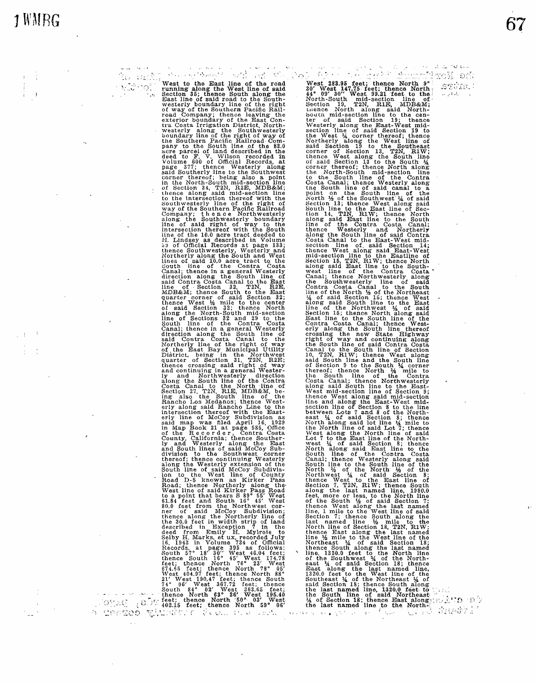## $\mathbb{R}^N \times \mathbb{R}^N$  .

"U Gan

West to the East line of the road<br>
running along the West line of said<br>
section 35; thence South along the<br>
East line of said road to the South-<br>
westerly boundary line of the right<br>
of way of the Southern Pacific Rail-<br>
r westerly along the Southwesterly<br>boundary line of the right of way of<br>the Southern Pacific Railroad Commany to the South line of the 83.0<br>acre parcel of land described in the<br>deed to F. V. Wilson recorded in<br>Volume 600 of Official Records, at<br>page 377; thence Westerly slong<br>said Southerly line to the Southwest<br>corner thereo nd Section 34, T2N, R2E, MDB&M;<br>of Section 34, T2N, R2E, MDB&M;<br>thence along said mid-section line<br>to the intersection thereof with the<br>Southwesterly line of the right of<br>Company; the ance Northwesterly boundary<br>line of sa oriantic of Section 31 Thin Fig. The matrix of the<br>neared crossing said right of way and continuing in a general Wester-<br>alone crossing said right of way and continuing in a general Wester-<br>alone of Section 2001 line of t

 $\cap$   $\alpha$   $\in$ 

West 288.95 feet; thence North 9°<br>30' West 147.75 feet; thence North<br>44° 09' 30'' West 99.21 feet to the North-South mid-section line of<br>Section 19, T2N, RIE, MDB&M;<br>mence North along said North-South mid-section line to the cen-<br>ter of said Section line to the cen-<br>ter of said Section 19; thence<br>Westerly along the Bast-West mid-<br>section line of said Section 19 to<br>the West 1/ corner thereof; thence<br>Northerly along Costa Canal; thene Westerly along<br>
Costa Canal; thene Westerly along<br>
the South line of said canal to a<br>
horith  $\frac{1}{2}$  of the South west  $\frac{1}{4}$  of said<br>
North  $\frac{1}{2}$ ; the Southwest  $\frac{1}{4}$  of said<br>
South line to of Section 9 to the South ¼ corner thereof; thence North l/4 mile to the South line of the Contra Costa Canal; thence Northwesterly<br>closta Canal; thence Northwesterly<br>West mid-section line to the East-<br>West mid-section line of Section 3;<br>thence West along said mid-section<br>line and along the East-West mid-<br>netween Lots North line of said Lot line  $\lambda_i$  mine to<br>the North line of said Lot line  $\lambda_i$  mile to<br>the North line of said Lot line  $\lambda_i$  mile to<br>twest along the North line of said<br>west  $\lambda_i$  of said Section 8; thence<br>west  $\lambda_i$  of s the South line of said Northeast.<br>4 of Section 18; thence East along:

 $\mathcal{L}_k$  to a set

 $10000$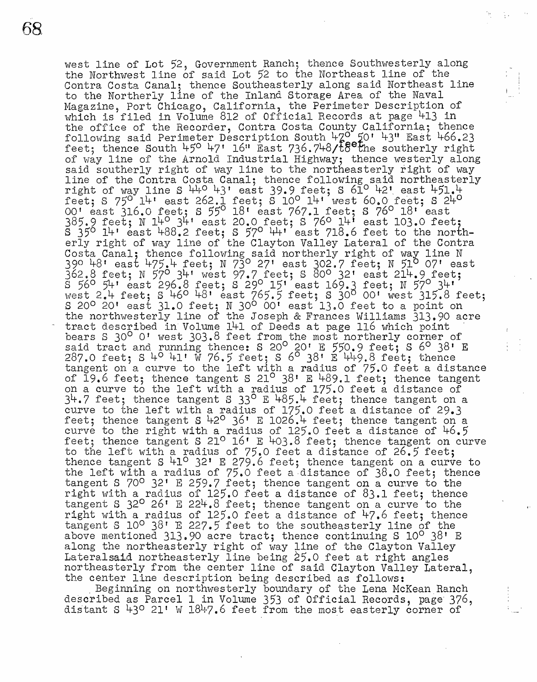west line of Lot 52, Government Ranch; thence Southwesterly along the Northwest line of said Lot 52 to the Northeast line of the Contra Costa Canal; thence Southeasterly along said Northeast line to the Northerly line of the Inland Storage Area of the Naval Magazine, Port Chicago, California, the Perimeter Description of which is filed in Volume 812 of Official Records at page 413 in the office of the Recorder, Contra Costa County California; thence following said Perimeter Description South L1-z0 *10'* 43° East 466.23 feet; thence South  $45^{\circ}$  47' 16" East 736.748/ $t$ 8 the southerly right of way line of the Arnold Industrial Highway; thence westerly along said southerly right of way line to the northeasterly right of way line of the Contra Costa Canal; thence following said northeasterly right of way line S  $440$   $43'$  east 39.9 feet; S  $610'$   $42'$  east  $451.4$ feet; S 75° 14 1 east 262.1 feet; S 10° 14' west 60.0 feet; S 24° 00' east 316.0 feet; S 55° 18' east 767.1 feet; S 76° 18' east 385.9 feet; N 14° 341 east 20.0 feet; S 76° 141 east 103.0 feet;  $S$   $35^{\circ}$   $14^{\circ}$  east 488.2 feet; S  $57^{\circ}$   $44^{\circ}$  east 718.6 feet to the northerly right of way line of the Clayton Valley Lateral of the Contra Costa Canal; thence following said northerly right of way line N 39° 48 1 east 475.4 feet; N 73° 27 1 east 302.7 feet; N 51 07' east 362.8 feet; N 57° 341 west 97.7 feet; S 80° 32' east 214.9 feet;  $\frac{1}{5}$  56° 54' east 296.8 feet; S 29° 15' east 169.3 feet; N 57° 34'  $w$ est 2.4 feet; S 46<sup>0</sup> 48' east 765.5 feet; S 30<sup>0</sup> 00' west 315.8 feet;  $S$  20 $\circ$  20<sup>t</sup> east 31.0 feet; N 30<sup>0</sup> 00<sup>t</sup> east 13.0 feet to a point on the northwesterly line of the Joseph & Frances Williams 313.90 acre one not described in Volume 141 of Deeds at page 116 which point bears S 30<sup>0</sup> 0' west 303.8 feet from the most northerly corner of said tract and running thence: S 20° 20' E 550.9 feet; S  $6^\circ$  38' E  $287.0$  feet; S  $4^{\circ}$   $41'$  W 76.5 feet; S  $6^{\circ}$  38<sup>7</sup> E  $449.8$  feet; thence tangent on a curve to the left with a radius of 75.0 feet a distance of  $I9.6$  feet; thence tangent S 21<sup>o</sup> 38' E 489.1 feet; thence tangent on a curve to the left with a radius of 175.0 feet a distance of  $34.7$  feet; thence tangent S  $33^{\circ}$  E  $485.4$  feet; thence tangent on a curve to the left with a radius of 175.0 feet a distance of 29.3 feet; thence tangent S  $42^{\circ}$  36' E 1026.4 feet; thence tangent on a curve to the right with a radius of 125.0 feet a distance of 46.5 feet; thence tangent S 21° 16' E 403.8 feet; thence tangent on curve to the left with a radius of 75.0 feet a distance of 26.5 feet; thence tangent S 41<sup>0</sup> 32' E 279.6 feet; thence tangent on a curve to the left with a radius of  $75.0$  feet a distance of  $38.0$  feet; thence tangent S 70° 32' E 259.7 feet; thence tangent on a curve to the right with a radius of 125.0 feet a distance of 83.1 feet; thence tangent S  $32^{\circ}$  26' E 224.8 feet; thence tangent on a curve to the right with a radius of 125.0 feet a distance of 47.6 feet; thence tangent S 10<sup>o</sup> 38' E 227.5 feet to the southeasterly line of the above mentioned 313.90 acre tract; thence continuing S  $10^{\circ}$  38' E along the northeasterly right of way line of the Clayton Valley<br>Lateralsaid northeasterly line being 25.0 feet at right angles northeasterly from the center line of said Clayton Valley Lateral, the center line description being described as follows:

Beginning on northwesterly boundary of the Lena McKean Ranch described as Parcel 1 in Volume 353 of Official Records, page· 376, distant S 43° 21' W 1847.6 feet from the most easterly corner of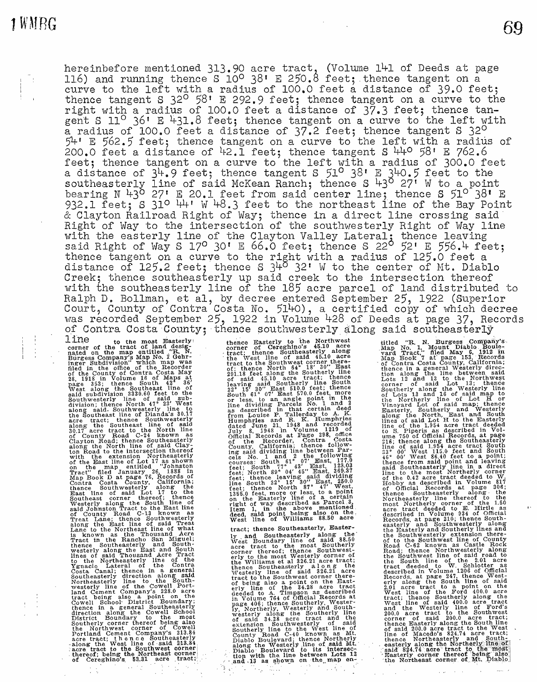hereinbefore mentioned  $313.90$  acre tract, (Volume 141 of Deeds at page 116) and running thence S 10° 38' E 250.8 feet; thence tangent on a curve to the left with a radius of 100.0 feet a distance of 39.0 feet; thence tangent S 32<sup>0</sup> 58' E 292.9 feet; thence tangent on a curve to the right with a radius of 100.0 feet a distance of 37.3 feet; thence tangent S 11<sup>°</sup> 36' E 431.8 feet; thence tangent on a curve to the left with a radius of 100.0 feet a distance of 37.2 feet; thence tangent S 32<sup>0</sup> 54' E 562.5 feet; thence tangent on a curve to the left with a radius of 200.0 feet a distance of  $42.1$  feet; thence tangent S  $440$  58' E 762.6 feet; thence tangent on a curve to the left with a radius of 300.0 feet a distance of  $3^{\mu}$ .  $9$  feet; thence tangent S  $51^{\text{o}}$   $38$ <sup>'</sup> E  $3^{\mu}$ O. 5 feet to the southeasterly line of said McKean Ranch; thence S  $\frac{1}{4}3^{\circ}$  27<sup>'</sup> W to a point bearing N  $43^{\circ}$  27' E 20.1 feet from said center line; thence S  $51^{\circ}$  38' E  $932.1$  feet;  $S$   $31^\circ$   $44'$  W  $48.3$  feet to the northeast line of the Bay Point & Clayton Railroad Right of Way; thence in a direct line crossing said Right of Way to the intersection of the southwesterly Right of Way line with the easterly line of the Clayton Valley Lateral; thence leaving said Right of Way S  $17^{\circ}$  30' E 66.0 feet; thence S  $22^{\circ}$  52' E 556.4 feet; said night of way  $5$  1/ $50^\circ$  m 00.0 feet; thence  $5$  22  $-$  22  $-$  22  $-$  18  $-$  19 thence tangent on a curve to the right with a radius of 125.0 feet a distance of 125.2 feet; thence  $5$   $3^{10}$   $32$ <sup>'</sup> W to the center distance of  $125.2$  feet; thence S  $340.32$ ' W to the center of Mt. Diablo Creek; thence southeasterly up said creek to the intersection thereof with the southeasterly line of the 185 acre parcel of land distributed to Ralph D. Bollman, et al, by decree entered September 25, 1922 (Superior Court, County of Contra Costa No. 5140), a certified copy of which decree was recorded September 25, 1922 in Volume 428 of Deeds at page 37, Records of Contra Costa County; thence southwesterly along said southeasterly

1 ine to the most Easterly corner of the tract of land designated on the map entitled "R. N. Burgess Company's Map Which map was filed in the office of the Recorder med in County of Contra Costa May<br>28, 1918 in Volume 16 of Maps at<br>page 353; thence South 42 36'<br>page 353; thence Southeast line of<br>gaid subdivision 333.0.60 feed to the<br>Southwesterly line of said sub-<br>division; thence Nor for the East line of Lot 17 as shown<br>with the extension Northeasterly<br>on the East line of Lot 17 as shown<br>fract" flled January 26, 1888<br>Map Book Dat page 76, Records of<br>Contra Costa County, California;<br>thence Southwesterly Cowell School· District Boundary; thence in a general Southeasterly direction along the Cowell School District Boundary to the most<br>
District Boundary to the most<br>
Southerly corner thereof being also<br>
the Northwest corner of Cowell<br>
Portland Cement Company's 213.84<br>
acre tract; then ce Southeasterly<br>
along the West line of

thence Easterly to the Northwest<br>corner of Cerghino's 45.10 acre<br>tract; thence Southeasterly along<br>the West line of said 45.10 acre<br>tract to the Southwest corner there-<br>ract to the Southwest corner there-<br>291.18 feet along or ress, to minimize is No. 1 and 2<br>as described in that certain deed<br>from Louise P. Tallerday to A. K. Humphries and R. K. Humphries<br>Humphries and R. K. Humphries<br>July 8, 1948 in Volume 1219 of<br>July 8, 1948 in Volume 1219 of<br>Official Records at Page 298, office<br>County, California; thence follow-<br>County, California; thence

tract; thence Southeasterly, Easter-Iy and Southeasterly along the<br>West Boundary line of said 88.50<br>acre tract to the most Southerly<br>corner thereof; thence Southwest-<br>erly to the most Westerly corner of<br>the Williams et al 326.21 acre tract;<br>thence Southeaste westerly line of said 326.21 acre<br>tract to the Southwest corner there-<br>of being also a point on the East-<br>erly line of the 34.28 acre tract<br>deeded to A. Timpson as described deeded to A. Impound and Schools at the School is the could be the extent westerly and South-<br>in Volume 764 of Official Records at<br>page 406; thence Southerly. Westerly and South-<br>westerly along the Southerly line<br>extension tion with the line between Lots 12<br>• .and .13 as shown on the map entitled "R. N. Burgess Company's Map No. 1, Mount Diablo Boule-<br>Map No. 1, Mount Diablo Boule-<br>Map Tract," filed May 6, 1912 in<br>Map Book 7 at page 153, Records<br>of Contra Costa County, California;<br>thence in a general Westerl Vincyary, Southerly and Westerly<br>along the North, East and South along the Two-the Table Theory incomes of said Lot H to the Easterly<br>lines of the 1.954 acre tract deed<br>to S. Piperis as described in Volume 750 of Official Records, at page<br>216; thence along the Southeasterly<br>11ne of said Said Southeast Northerly corner of the 0.42 acre tract deeded to W. Hobby as described in Volume 817 of Official Records at page 306; thence Southeasterly along· the Mortheasterly line thereof to the<br>most Northerly corner of the 1.50<br>acre tract deeded to E. Hirtle as<br>described in Volume 934 of Official<br>Records, at page 210; thence South-<br>easterly and Southwesterly along<br>the Easterly ma Road; thence Northwesterly along<br>Road; thence Northwesterly along<br>the Southwest line of said road to<br>tract deeded to W. Schlotter as<br>described in Volume 1206 of Official<br>Records, at page 247, thence West-<br>erly along the So 200.0 acre tract to the Southwest<br>corner of said 200.0 acre tract to<br>the nece Easterly along the South line<br>thence Easterly along the South line<br>incomposition of Macedo's 824.74 acre tract;<br>the exterly along the Northeaste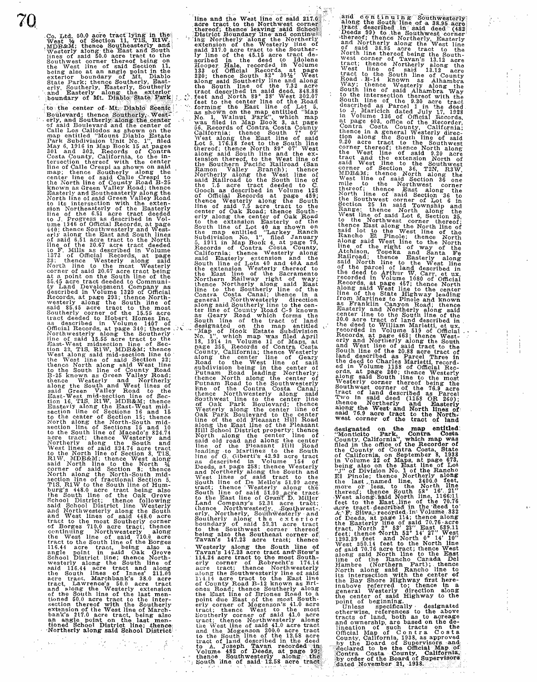$70.$  . Co. Ltd. 50.0 acre tract  $\frac{1}{2}$ West 4 of Section 11, TIS, RIW.<br>
MDB&M; thence Southeasterly and<br>
Mestrix along the East and South<br>
lines of said 50.0 acre tract to the<br>
Southwest corner thereof being on<br>
the West line of said Section 11,<br>
being also at

> to the center of Mt. Diablo Scenic Boulevard; thence Southerly, West-<br>erly, and Southerly along the center of said Boulevard and the center of<br>Calle Los Callodos as shown on the<br>map entitled "Mount Diablo Estate<br>Park Subdi map; thence Southerly along the<br>enter line of Said Calle Crespi to<br>the North line of County Road B-25<br>known as Green Valley Road; thence<br>Easterly and Southeasterly along the<br>North line of said Green Valley Road<br>North line 1373 of Official Records, at page<br>33: thence Westerly along said North line to the most Westerly<br>corner of said 20.67 acre tract being<br>care as a point on the South line of the<br>S5.45 acre tract deeded to Community Land Development Company as<br>described in Volume 1329 of Official<br>Records, thence North along said West line<br>thence North along said West line<br>thence North line of County Road;<br>Hence Westerly and Northerly and<br>along the South and West lines of<br>said Green Valley Road to the<br>East-West mid-section l RIW, MDB&M; thence West along<br>RIW, MDB&M; thence West along<br>corner of said Scetion 8; thence<br>corner of said Section 8; thence<br>North along the North-South mid-<br>section line of fractional Section 5,<br>TIS, RIW to the South lin and West lines of said 448.0 acre tract to the most Southerly corner of Borges 710.0 acre tract; thence continuing Northwesterly along<br>the West line of said 710.0 acre<br>tract to the South line of the Borges<br>116.44 acre tract, being also a<br>angle point in said Oak Grove<br>School District line; thence North-<br>westerly along the Sou of the South lme of the last men- tioned 50.0 acre tract to the intersection thereof with the Southerly extension of the West line of Marchbank's 217.0 acre tract, being also an angle point on the last men-<br>tioned School District line; thence,<br>Northerly along said School District

line and the West line of said,• 2ii~.fri'( · . acre tract. to the Northwe~t corn~r)~ · , thereof;. tll:~nca l~a,ving :said Sc.hoolJ District Boundary line and continues<br>in Northerly along the Northerly<br>extension of the Westerly line of<br>said 217.0 acre tract to the Souther-<br>ly line of the 45.15 acre tract de-<br>scribed in the deed to Idolene<br>Hooper. Hale, along said Southerly line and along<br>the South line of the 7.32 acre<br>tract described in said deed, 848.88<br>feet and North 89° 38' West 302.07<br>feet to the enter line of the Road<br>forming the East line of Lot 5,<br>Mo. 1, Walnut P the Southern Pacific Railroad (San Ramon Valley Branch); thence Northerly along the West line of said Railroad to the South line of the 7.5 acre tract deed to C. (Gooch as described in Volume 128 of Official Records at pag erly along the center of Oak Road to the extension Easterly of the South line of Lot 40 as shown on the map entitled "Larkey Ranch Subdivision No. 1", filed January 5, 1011 in Map Boole 4, at page 79, Records of Contra Costa County, california; thence 'Westerly along said Easterly thereof to and 40A and the extension westerly thereof to the Sacramento the East line of the Sacramento Northern Railway right of way;<br>thence Northerly along said East<br>line to the Southerly line of the<br>Contra Costa Canal; thence in a<br>general Northwesterly direction along said Southerly line to the center line of County Road C-9 known<br>as Geary Road which forms the<br>South line of the tract of land<br>designated on the map entitled<br>"Map of Hook Estate Subdivision<br>No. 1", which map was filed County, California; thence Westerly Road to the enter line of Geary<br>Road to the West line of Said<br>Road to the West line of Said<br>Bubivision being in the center of<br>Putnam Road leading Northerly;<br>thence North along the center cos described a 258; thence Westerly<br>and Northerly along the South and<br>South line of De Mello's 51.99 acre<br>tract; thence Westerly along the<br>South line of De Mello's 51.99 acre<br>tract; the mean of said 51.99 acre tract-<br>to t Land Company's 52.31 acre tract;<br>thence Northwesterly, Southwest-.<br>erly, Northerly, Southwesterly and Southerly along the exterior<br>Southerly along the exterior<br>boundary of said 52.31 acre tract<br>to the Southwest corner thereof<br>being also the Southeast corner of<br>Tavan's 147.23 acre tract; thence Westerly along the South line of<br>Travan's 147.23 acce tract and Stow's<br>114.24 acre tract to the most South-<br>erly corner of Roberlt's 174.14<br>acre tract; thence Northwesterly<br>along the Southwesterly line of said<br>174.14 acre erly corner of Mogenson's 41.0 acre<br>tract; thence West to the most<br>southerly corner of said 41.0 acre<br>tract; thence Worthwesterly along<br>trie west line of said 41.0 acre tract<br>and the Mogenson 200.0 acre tract<br>to the South Volume 482 of Deeds, at page 99'.<br>thence Southwesterly along the<br>South line of said 12.58 acre tract

and continuing Southwesterly<br>along the South line of a 38.95 acre<br>tract described in said deed (482)<br>Deeds 99) to the Southwest corner +thereof; thence Northerly, Easterly and Northerly along the West line<br>of said 38.95 acre tract to the<br>Northine thereof being the South-<br>West corner of Tavan's 13.12 acre<br>west corner of Tavan's 13.12 acre<br>West line Norther West line of said 13.12 acre tract to the South line of County of County of County of County of Taylor. Way; thence Westerly along the<br>South line of said Alhambra Way<br>to the intersection thereof with the<br>South line of the 9.20 acre tract<br>described as Parcel 1 in the deed<br>to J, Maricich dated July 17, 1928<br>in Volume 126 of Of at page 403, office of the Recorder, Contra Costa County, California;<br>thence in a general Westerly direc-<br>thence in a general Westerly direction along the South line of said<br>9.20 acre tract to the Southwest corner thereof; thence North along<br>the West line of said 9.20 acre<br>tract and the extension North of said West line to the Southwest<br>corner of Section 36, T2N, R3W,<br>MDB&M; thence North along the<br>West line of said Section 36 one<br>mile to the Northwest corner<br>threeof; thence East along the<br>North line of said Section 36 to<br>Se West line of said Lot 6, Section 25, to the Northwest corner thereof: thence East along the North line of the vest line of the Wast line of the Wast line of the Wast line of the along said West line of the line of the line of the right of way of the Said North line of the right of the said N Records, at page 457; thence North aline of the State Highway leading line of the State Highway leading from Martinez to Pinole and known as Franklin Canyon Road; thence Easterly and Northerly along said center line to the South line of the South line of the South line of the deed to William Marietti, et ux, Records in Volume 519 of Official Records, at page 463; thence West-<br>and Northerly Westerly corner thereof being the corner of the 76.9 acre tract of land described as Parcel<br>Two in said deed (1158 OR 260);<br>thence Northerly and Easterly<br>said 76.9 acre tract to the North.<br>said 76.9 acre tract of land<br>west corner of the tract of land

designated on the map entitled. "Montifato Park, Contra Costa<br>County, California", which map was<br>filed in the office of the Recorder of<br>the County of Contra Costa, State<br>of California, on September 8, 1938<br>in Volume 22 of At Deeds, at page 114; thence along<br>the Easterly line of said 70.76 acre<br>tract, North 2° 53' 23" East 639.11<br>feet; thence North 52° 14' 27" West<br>1293.39 feet and North 10° 14' 10"<br>West 250.14 feet to the North line<br>of said

point of beginning.<br>
Unless specifically designated<br>
Unless specifically designated<br>
therwise, references to the above<br>
tracts of land, both as to acreage<br>
and ownership, are based on the de-<br>
lineation of such tracts on t